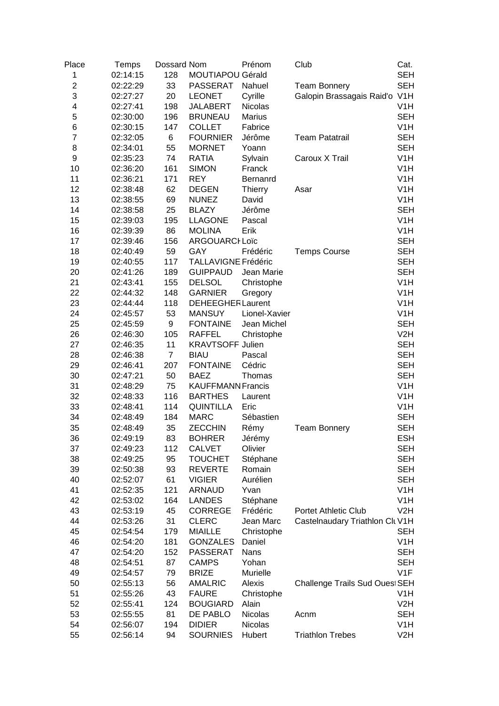| Place          | <b>Temps</b> | Dossard Nom    |                            | Prénom         | Club                            | Cat.             |
|----------------|--------------|----------------|----------------------------|----------------|---------------------------------|------------------|
| 1              | 02:14:15     | 128            | MOUTIAPOU Gérald           |                |                                 | <b>SEH</b>       |
| $\overline{2}$ | 02:22:29     | 33             | <b>PASSERAT</b>            | Nahuel         | <b>Team Bonnery</b>             | <b>SEH</b>       |
| 3              | 02:27:27     | 20             | <b>LEONET</b>              | Cyrille        | Galopin Brassagais Raid'o V1H   |                  |
| 4              | 02:27:41     | 198            | <b>JALABERT</b>            | <b>Nicolas</b> |                                 | V <sub>1</sub> H |
| 5              | 02:30:00     | 196            | <b>BRUNEAU</b>             | <b>Marius</b>  |                                 | <b>SEH</b>       |
| 6              | 02:30:15     | 147            | <b>COLLET</b>              | Fabrice        |                                 | V <sub>1</sub> H |
| 7              | 02:32:05     | 6              | <b>FOURNIER</b>            | Jérôme         | <b>Team Patatrail</b>           | <b>SEH</b>       |
| 8              | 02:34:01     | 55             | <b>MORNET</b>              | Yoann          |                                 | <b>SEH</b>       |
| 9              | 02:35:23     | 74             | <b>RATIA</b>               | Sylvain        | Caroux X Trail                  | V <sub>1</sub> H |
| 10             | 02:36:20     | 161            | <b>SIMON</b>               | Franck         |                                 | V <sub>1</sub> H |
| 11             | 02:36:21     | 171            | <b>REY</b>                 | Bernanrd       |                                 | V <sub>1</sub> H |
| 12             | 02:38:48     | 62             | <b>DEGEN</b>               | <b>Thierry</b> | Asar                            | V <sub>1</sub> H |
| 13             | 02:38:55     | 69             | <b>NUNEZ</b>               | David          |                                 | V <sub>1</sub> H |
| 14             | 02:38:58     | 25             | <b>BLAZY</b>               | Jérôme         |                                 | <b>SEH</b>       |
| 15             | 02:39:03     | 195            | <b>LLAGONE</b>             | Pascal         |                                 | V <sub>1</sub> H |
| 16             | 02:39:39     | 86             | <b>MOLINA</b>              | Erik           |                                 | V <sub>1</sub> H |
| 17             | 02:39:46     | 156            | <b>ARGOUARCI Loïc</b>      |                |                                 | <b>SEH</b>       |
| 18             | 02:40:49     | 59             | GAY                        | Frédéric       | <b>Temps Course</b>             | <b>SEH</b>       |
| 19             | 02:40:55     | 117            | <b>TALLAVIGNE Frédéric</b> |                |                                 | <b>SEH</b>       |
| 20             | 02:41:26     | 189            | <b>GUIPPAUD</b>            | Jean Marie     |                                 | <b>SEH</b>       |
| 21             | 02:43:41     | 155            | <b>DELSOL</b>              | Christophe     |                                 | V <sub>1</sub> H |
| 22             | 02:44:32     | 148            | <b>GARNIER</b>             | Gregory        |                                 | V <sub>1</sub> H |
| 23             | 02:44:44     | 118            | <b>DEHEEGHER Laurent</b>   |                |                                 | V <sub>1</sub> H |
| 24             | 02:45:57     | 53             | <b>MANSUY</b>              | Lionel-Xavier  |                                 | V <sub>1</sub> H |
| 25             | 02:45:59     | 9              | <b>FONTAINE</b>            | Jean Michel    |                                 | <b>SEH</b>       |
| 26             | 02:46:30     | 105            | <b>RAFFEL</b>              | Christophe     |                                 | V2H              |
| 27             | 02:46:35     | 11             | <b>KRAVTSOFF Julien</b>    |                |                                 | <b>SEH</b>       |
| 28             | 02:46:38     | $\overline{7}$ | <b>BIAU</b>                | Pascal         |                                 | <b>SEH</b>       |
| 29             | 02:46:41     | 207            | <b>FONTAINE</b>            | Cédric         |                                 | <b>SEH</b>       |
| 30             | 02:47:21     | 50             | <b>BAEZ</b>                | Thomas         |                                 | <b>SEH</b>       |
| 31             | 02:48:29     | 75             | <b>KAUFFMANN Francis</b>   |                |                                 | V1H              |
| 32             | 02:48:33     | 116            | <b>BARTHES</b>             | Laurent        |                                 | V <sub>1</sub> H |
| 33             | 02:48:41     | 114            | <b>QUINTILLA</b>           | Eric           |                                 | V <sub>1</sub> H |
| 34             | 02:48:49     | 184            | <b>MARC</b>                | Sébastien      |                                 | <b>SEH</b>       |
| 35             | 02:48:49     | 35             | <b>ZECCHIN</b>             | Rémy           | <b>Team Bonnery</b>             | <b>SEH</b>       |
| 36             | 02:49:19     | 83             | <b>BOHRER</b>              | Jérémy         |                                 | <b>ESH</b>       |
| 37             | 02:49:23     | 112            | <b>CALVET</b>              | Olivier        |                                 | SEH              |
| 38             | 02:49:25     | 95             | <b>TOUCHET</b>             | Stéphane       |                                 | <b>SEH</b>       |
| 39             | 02:50:38     | 93             | <b>REVERTE</b>             | Romain         |                                 | <b>SEH</b>       |
| 40             | 02:52:07     | 61             | <b>VIGIER</b>              | Aurélien       |                                 | <b>SEH</b>       |
| 41             | 02:52:35     | 121            | <b>ARNAUD</b>              | Yvan           |                                 | V <sub>1</sub> H |
| 42             | 02:53:02     | 164            | <b>LANDES</b>              | Stéphane       |                                 | V <sub>1</sub> H |
| 43             | 02:53:19     | 45             | CORREGE                    | Frédéric       | <b>Portet Athletic Club</b>     | V2H              |
| 44             | 02:53:26     | 31             | <b>CLERC</b>               | Jean Marc      | Castelnaudary Triathlon Clt V1H |                  |
| 45             | 02:54:54     | 179            | <b>MIAILLE</b>             | Christophe     |                                 | <b>SEH</b>       |
| 46             | 02:54:20     | 181            | <b>GONZALES</b>            | Daniel         |                                 | V1H              |
| 47             | 02:54:20     | 152            | <b>PASSERAT</b>            | Nans           |                                 | SEH              |
| 48             | 02:54:51     | 87             | <b>CAMPS</b>               | Yohan          |                                 | SEH              |
| 49             | 02:54:57     | 79             | <b>BRIZE</b>               | Murielle       |                                 | V1F              |
| 50             | 02:55:13     | 56             | <b>AMALRIC</b>             | Alexis         | Challenge Trails Sud Oues SEH   |                  |
| 51             | 02:55:26     | 43             | <b>FAURE</b>               | Christophe     |                                 | V1H              |
| 52             | 02:55:41     | 124            | <b>BOUGIARD</b>            | Alain          |                                 | V2H              |
| 53             | 02:55:55     | 81             | DE PABLO                   | Nicolas        | Acnm                            | SEH              |
| 54             | 02:56:07     | 194            | <b>DIDIER</b>              | Nicolas        |                                 | V1H              |
| 55             | 02:56:14     | 94             | <b>SOURNIES</b>            | Hubert         | <b>Triathlon Trebes</b>         | V2H              |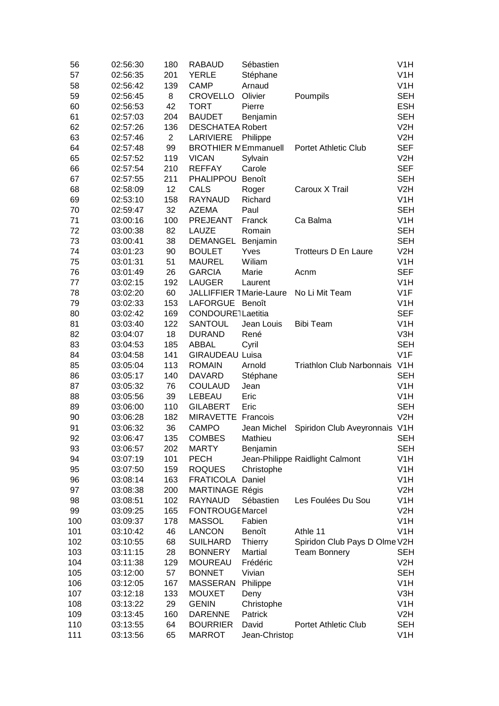| 56  | 02:56:30 | 180            | <b>RABAUD</b>                   | Sébastien      |                                  | V <sub>1</sub> H |
|-----|----------|----------------|---------------------------------|----------------|----------------------------------|------------------|
| 57  | 02:56:35 | 201            | <b>YERLE</b>                    | Stéphane       |                                  | V <sub>1</sub> H |
| 58  | 02:56:42 | 139            | <b>CAMP</b>                     | Arnaud         |                                  | V <sub>1</sub> H |
| 59  | 02:56:45 | 8              | <b>CROVELLO</b>                 | Olivier        | Poumpils                         | <b>SEH</b>       |
| 60  | 02:56:53 | 42             | <b>TORT</b>                     | Pierre         |                                  | <b>ESH</b>       |
| 61  | 02:57:03 | 204            | <b>BAUDET</b>                   | Benjamin       |                                  | <b>SEH</b>       |
| 62  | 02:57:26 | 136            | <b>DESCHATEA Robert</b>         |                |                                  | V <sub>2</sub> H |
| 63  | 02:57:46 | $\overline{2}$ | <b>LARIVIERE</b>                | Philippe       |                                  | V <sub>2</sub> H |
| 64  | 02:57:48 | 99             | <b>BROTHIER N Emmanuell</b>     |                | <b>Portet Athletic Club</b>      | <b>SEF</b>       |
| 65  | 02:57:52 | 119            | <b>VICAN</b>                    | Sylvain        |                                  | V2H              |
| 66  | 02:57:54 | 210            | <b>REFFAY</b>                   | Carole         |                                  | <b>SEF</b>       |
| 67  | 02:57:55 | 211            | PHALIPPOU                       | Benoît         |                                  | <b>SEH</b>       |
| 68  | 02:58:09 | 12             | <b>CALS</b>                     | Roger          | Caroux X Trail                   | V2H              |
| 69  | 02:53:10 | 158            | <b>RAYNAUD</b>                  | Richard        |                                  | V <sub>1</sub> H |
| 70  | 02:59:47 | 32             | <b>AZEMA</b>                    | Paul           |                                  | <b>SEH</b>       |
| 71  | 03:00:16 | 100            | <b>PREJEANT</b>                 | Franck         | Ca Balma                         | V <sub>1</sub> H |
| 72  | 03:00:38 | 82             | <b>LAUZE</b>                    | Romain         |                                  | <b>SEH</b>       |
| 73  | 03:00:41 | 38             | <b>DEMANGEL</b>                 | Benjamin       |                                  | <b>SEH</b>       |
| 74  | 03:01:23 | 90             | <b>BOULET</b>                   | Yves           | <b>Trotteurs D En Laure</b>      | V2H              |
| 75  | 03:01:31 | 51             | <b>MAUREL</b>                   | Wiliam         |                                  | V <sub>1</sub> H |
| 76  | 03:01:49 | 26             | <b>GARCIA</b>                   | Marie          | Acnm                             | <b>SEF</b>       |
| 77  | 03:02:15 | 192            | <b>LAUGER</b>                   | Laurent        |                                  | V <sub>1</sub> H |
| 78  | 03:02:20 | 60             | <b>JALLIFFIER 1 Marie-Laure</b> |                | No Li Mit Team                   | V <sub>1</sub> F |
| 79  | 03:02:33 | 153            | <b>LAFORGUE</b>                 | Benoît         |                                  | V <sub>1</sub> H |
| 80  | 03:02:42 | 169            | CONDOURE1Laetitia               |                |                                  | <b>SEF</b>       |
| 81  | 03:03:40 | 122            | <b>SANTOUL</b>                  | Jean Louis     | <b>Bibi Team</b>                 | V <sub>1</sub> H |
| 82  | 03:04:07 | 18             | <b>DURAND</b>                   | René           |                                  | V3H              |
| 83  | 03:04:53 | 185            | <b>ABBAL</b>                    | Cyril          |                                  | <b>SEH</b>       |
| 84  | 03:04:58 | 141            | <b>GIRAUDEAU Luisa</b>          |                |                                  | V1F              |
| 85  | 03:05:04 | 113            | <b>ROMAIN</b>                   | Arnold         | <b>Triathlon Club Narbonnais</b> | V <sub>1</sub> H |
| 86  | 03:05:17 | 140            | <b>DAVARD</b>                   | Stéphane       |                                  | <b>SEH</b>       |
| 87  | 03:05:32 | 76             | <b>COULAUD</b>                  | Jean           |                                  | V <sub>1</sub> H |
| 88  | 03:05:56 | 39             | LEBEAU                          | Eric           |                                  | V <sub>1</sub> H |
| 89  | 03:06:00 | 110            | <b>GILABERT</b>                 | Eric           |                                  | <b>SEH</b>       |
| 90  | 03:06:28 | 182            | MIRAVETTE Francois              |                |                                  | V2H              |
| 91  | 03:06:32 | 36             | <b>CAMPO</b>                    | Jean Michel    | Spiridon Club Aveyronnais V1H    |                  |
| 92  | 03:06:47 | 135            | <b>COMBES</b>                   | Mathieu        |                                  | SEH              |
| 93  | 03:06:57 | 202            | <b>MARTY</b>                    | Benjamin       |                                  | SEH              |
| 94  | 03:07:19 | 101            | <b>PECH</b>                     |                | Jean-Philippe Raidlight Calmont  | V <sub>1</sub> H |
| 95  | 03:07:50 | 159            | <b>ROQUES</b>                   | Christophe     |                                  | V <sub>1</sub> H |
| 96  | 03:08:14 | 163            | FRATICOLA Daniel                |                |                                  | V <sub>1</sub> H |
| 97  | 03:08:38 | 200            | <b>MARTINAGE Régis</b>          |                |                                  | V2H              |
| 98  |          | 102            | <b>RAYNAUD</b>                  | Sébastien      | Les Foulées Du Sou               | V <sub>1</sub> H |
|     | 03:08:51 |                |                                 |                |                                  |                  |
| 99  | 03:09:25 | 165            | <b>FONTROUGE Marcel</b>         |                |                                  | V2H              |
| 100 | 03:09:37 | 178            | <b>MASSOL</b><br><b>LANCON</b>  | Fabien         |                                  | V <sub>1</sub> H |
| 101 | 03:10:42 | 46             |                                 | Benoît         | Athle 11                         | V <sub>1</sub> H |
| 102 | 03:10:55 | 68             | <b>SUILHARD</b>                 | <b>Thierry</b> | Spiridon Club Pays D Olme V2H    |                  |
| 103 | 03:11:15 | 28             | <b>BONNERY</b>                  | Martial        | <b>Team Bonnery</b>              | <b>SEH</b>       |
| 104 | 03:11:38 | 129            | <b>MOUREAU</b>                  | Frédéric       |                                  | V2H              |
| 105 | 03:12:00 | 57             | <b>BONNET</b>                   | Vivian         |                                  | <b>SEH</b>       |
| 106 | 03:12:05 | 167            | <b>MASSERAN</b>                 | Philippe       |                                  | V <sub>1</sub> H |
| 107 | 03:12:18 | 133            | <b>MOUXET</b>                   | Deny           |                                  | V3H              |
| 108 | 03:13:22 | 29             | <b>GENIN</b>                    | Christophe     |                                  | V <sub>1</sub> H |
| 109 | 03:13:45 | 160            | <b>DARENNE</b>                  | Patrick        |                                  | V2H              |
| 110 | 03:13:55 | 64             | <b>BOURRIER</b>                 | David          | <b>Portet Athletic Club</b>      | <b>SEH</b>       |
| 111 | 03:13:56 | 65             | <b>MARROT</b>                   | Jean-Christop  |                                  | V <sub>1</sub> H |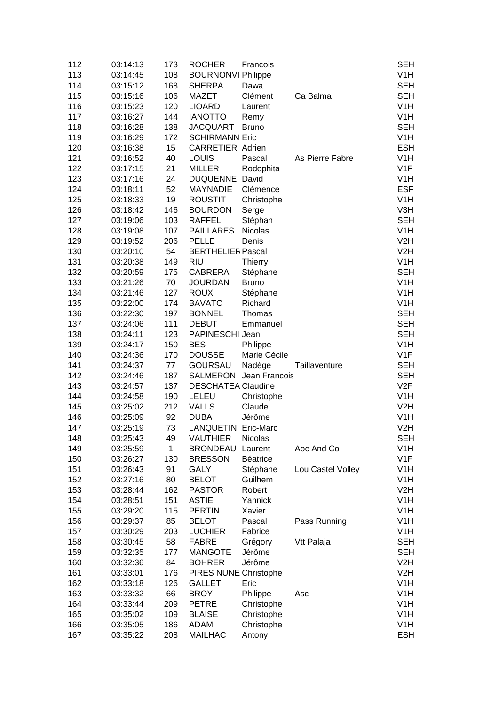| 112 | 03:14:13 | 173 | <b>ROCHER</b>             | Francois               |                   | <b>SEH</b>       |
|-----|----------|-----|---------------------------|------------------------|-------------------|------------------|
| 113 | 03:14:45 | 108 | <b>BOURNONVI Philippe</b> |                        |                   | V <sub>1</sub> H |
| 114 | 03:15:12 | 168 | <b>SHERPA</b>             | Dawa                   |                   | <b>SEH</b>       |
| 115 | 03:15:16 | 106 | <b>MAZET</b>              | Clément                | Ca Balma          | <b>SEH</b>       |
| 116 | 03:15:23 | 120 | <b>LIOARD</b>             | Laurent                |                   | V <sub>1</sub> H |
| 117 | 03:16:27 | 144 | <b>IANOTTO</b>            | Remy                   |                   | V <sub>1</sub> H |
| 118 | 03:16:28 | 138 | <b>JACQUART</b>           | <b>Bruno</b>           |                   | <b>SEH</b>       |
| 119 | 03:16:29 | 172 | <b>SCHIRMANN Eric</b>     |                        |                   | V <sub>1</sub> H |
| 120 | 03:16:38 | 15  | <b>CARRETIER Adrien</b>   |                        |                   | <b>ESH</b>       |
| 121 | 03:16:52 | 40  | <b>LOUIS</b>              | Pascal                 | As Pierre Fabre   | V <sub>1</sub> H |
| 122 | 03:17:15 | 21  | <b>MILLER</b>             | Rodophita              |                   | V <sub>1F</sub>  |
| 123 | 03:17:16 | 24  | <b>DUQUENNE</b>           | David                  |                   | V <sub>1</sub> H |
| 124 | 03:18:11 | 52  | <b>MAYNADIE</b>           | Clémence               |                   | <b>ESF</b>       |
| 125 | 03:18:33 | 19  | <b>ROUSTIT</b>            | Christophe             |                   | V <sub>1</sub> H |
| 126 | 03:18:42 | 146 | <b>BOURDON</b>            | Serge                  |                   | V3H              |
| 127 | 03:19:06 | 103 | <b>RAFFEL</b>             | Stéphan                |                   | <b>SEH</b>       |
| 128 | 03:19:08 | 107 | <b>PAILLARES</b>          | <b>Nicolas</b>         |                   | V <sub>1</sub> H |
| 129 | 03:19:52 | 206 | <b>PELLE</b>              | Denis                  |                   | V2H              |
| 130 | 03:20:10 | 54  | <b>BERTHELIER Pascal</b>  |                        |                   | V2H              |
| 131 | 03:20:38 | 149 | <b>RIU</b>                | <b>Thierry</b>         |                   | V <sub>1</sub> H |
| 132 | 03:20:59 | 175 | CABRERA                   | Stéphane               |                   | <b>SEH</b>       |
| 133 | 03:21:26 | 70  | <b>JOURDAN</b>            | <b>Bruno</b>           |                   | V <sub>1</sub> H |
| 134 | 03:21:46 | 127 | <b>ROUX</b>               | Stéphane               |                   | V <sub>1</sub> H |
| 135 | 03:22:00 | 174 | <b>BAVATO</b>             | Richard                |                   | V <sub>1</sub> H |
| 136 | 03:22:30 | 197 | <b>BONNEL</b>             | Thomas                 |                   | <b>SEH</b>       |
|     |          |     | <b>DEBUT</b>              |                        |                   | <b>SEH</b>       |
| 137 | 03:24:06 | 111 |                           | Emmanuel               |                   |                  |
| 138 | 03:24:11 | 123 | PAPINESCHI Jean           |                        |                   | <b>SEH</b>       |
| 139 | 03:24:17 | 150 | <b>BES</b>                | Philippe               |                   | V <sub>1</sub> H |
| 140 | 03:24:36 | 170 | <b>DOUSSE</b>             | Marie Cécile           |                   | V1F              |
| 141 | 03:24:37 | 77  | <b>GOURSAU</b>            | Nadège                 | Taillaventure     | <b>SEH</b>       |
| 142 | 03:24:46 | 187 |                           | SALMERON Jean Francois |                   | <b>SEH</b>       |
| 143 | 03:24:57 | 137 | <b>DESCHATEA Claudine</b> |                        |                   | V2F              |
| 144 | 03:24:58 | 190 | LELEU                     | Christophe             |                   | V <sub>1</sub> H |
| 145 | 03:25:02 | 212 | <b>VALLS</b>              | Claude                 |                   | V2H              |
| 146 | 03:25:09 | 92  | <b>DUBA</b>               | Jérôme                 |                   | V <sub>1</sub> H |
| 147 | 03:25:19 | 73  | LANQUETIN Eric-Marc       |                        |                   | V <sub>2</sub> H |
| 148 | 03:25:43 | 49  | <b>VAUTHIER</b>           | Nicolas                |                   | <b>SEH</b>       |
| 149 | 03:25:59 | 1   | <b>BRONDEAU</b>           | Laurent                | Aoc And Co        | V <sub>1</sub> H |
| 150 | 03:26:27 | 130 | <b>BRESSON</b>            | <b>Béatrice</b>        |                   | V <sub>1</sub> F |
| 151 | 03:26:43 | 91  | <b>GALY</b>               | Stéphane               | Lou Castel Volley | V <sub>1</sub> H |
| 152 | 03:27:16 | 80  | <b>BELOT</b>              | Guilhem                |                   | V <sub>1</sub> H |
| 153 | 03:28:44 | 162 | <b>PASTOR</b>             | Robert                 |                   | V <sub>2</sub> H |
| 154 | 03:28:51 | 151 | <b>ASTIE</b>              | Yannick                |                   | V <sub>1</sub> H |
| 155 | 03:29:20 | 115 | <b>PERTIN</b>             | Xavier                 |                   | V <sub>1</sub> H |
| 156 | 03:29:37 | 85  | <b>BELOT</b>              | Pascal                 | Pass Running      | V <sub>1</sub> H |
| 157 | 03:30:29 | 203 | <b>LUCHIER</b>            | Fabrice                |                   | V <sub>1</sub> H |
| 158 | 03:30:45 | 58  | <b>FABRE</b>              | Grégory                | Vtt Palaja        | <b>SEH</b>       |
| 159 | 03:32:35 | 177 | <b>MANGOTE</b>            | Jérôme                 |                   | <b>SEH</b>       |
| 160 | 03:32:36 | 84  | <b>BOHRER</b>             | Jérôme                 |                   | V2H              |
| 161 | 03:33:01 | 176 | PIRES NUNE Christophe     |                        |                   | V2H              |
| 162 | 03:33:18 | 126 | <b>GALLET</b>             | Eric                   |                   | V <sub>1</sub> H |
| 163 | 03:33:32 | 66  | <b>BROY</b>               | Philippe               | Asc               | V <sub>1</sub> H |
| 164 | 03:33:44 | 209 | <b>PETRE</b>              | Christophe             |                   | V <sub>1</sub> H |
| 165 | 03:35:02 | 109 | <b>BLAISE</b>             | Christophe             |                   | V <sub>1</sub> H |
| 166 | 03:35:05 | 186 | <b>ADAM</b>               | Christophe             |                   | V <sub>1</sub> H |
| 167 | 03:35:22 | 208 | <b>MAILHAC</b>            | Antony                 |                   | <b>ESH</b>       |
|     |          |     |                           |                        |                   |                  |